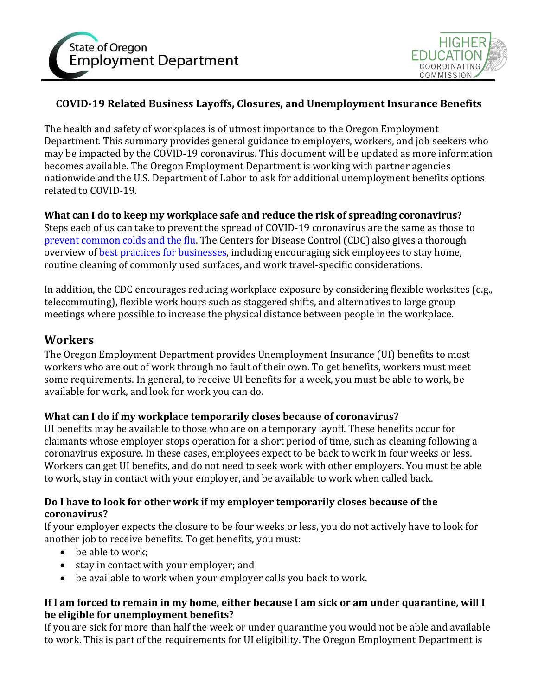



# **COVID-19 Related Business Layoffs, Closures, and Unemployment Insurance Benefits**

The health and safety of workplaces is of utmost importance to the Oregon Employment Department. This summary provides general guidance to employers, workers, and job seekers who may be impacted by the COVID-19 coronavirus. This document will be updated as more information becomes available. The Oregon Employment Department is working with partner agencies nationwide and the U.S. Department of Labor to ask for additional unemployment benefits options related to COVID-19.

#### **What can I do to keep my workplace safe and reduce the risk of spreading coronavirus?** Steps each of us can take to prevent the spread of COVID-19 coronavirus are the same as those to [prevent common colds and the flu.](https://sharedsystems.dhsoha.state.or.us/DHSForms/Served/LE2681.pdf) The Centers for Disease Control (CDC) also gives a thorough overview of [best practices for businesses,](https://www.cdc.gov/coronavirus/2019-ncov/community/guidance-business-response.html?CDC_AA_refVal=https%3A%2F%2Fwww.cdc.gov%2Fcoronavirus%2F2019-ncov%2Fspecific-groups%2Fguidance-business-response.html) including encouraging sick employees to stay home, routine cleaning of commonly used surfaces, and work travel-specific considerations.

In addition, the CDC encourages reducing workplace exposure by considering flexible worksites (e.g., telecommuting), flexible work hours such as staggered shifts, and alternatives to large group meetings where possible to increase the physical distance between people in the workplace.

# **Workers**

The Oregon Employment Department provides Unemployment Insurance (UI) benefits to most workers who are out of work through no fault of their own. To get benefits, workers must meet some requirements. In general, to receive UI benefits for a week, you must be able to work, be available for work, and look for work you can do.

## **What can I do if my workplace temporarily closes because of coronavirus?**

UI benefits may be available to those who are on a temporary layoff. These benefits occur for claimants whose employer stops operation for a short period of time, such as cleaning following a coronavirus exposure. In these cases, employees expect to be back to work in four weeks or less. Workers can get UI benefits, and do not need to seek work with other employers. You must be able to work, stay in contact with your employer, and be available to work when called back.

## **Do I have to look for other work if my employer temporarily closes because of the coronavirus?**

If your employer expects the closure to be four weeks or less, you do not actively have to look for another job to receive benefits. To get benefits, you must:

- be able to work:
- stay in contact with your employer; and
- be available to work when your employer calls you back to work.

#### **If I am forced to remain in my home, either because I am sick or am under quarantine, will I be eligible for unemployment benefits?**

If you are sick for more than half the week or under quarantine you would not be able and available to work. This is part of the requirements for UI eligibility. The Oregon Employment Department is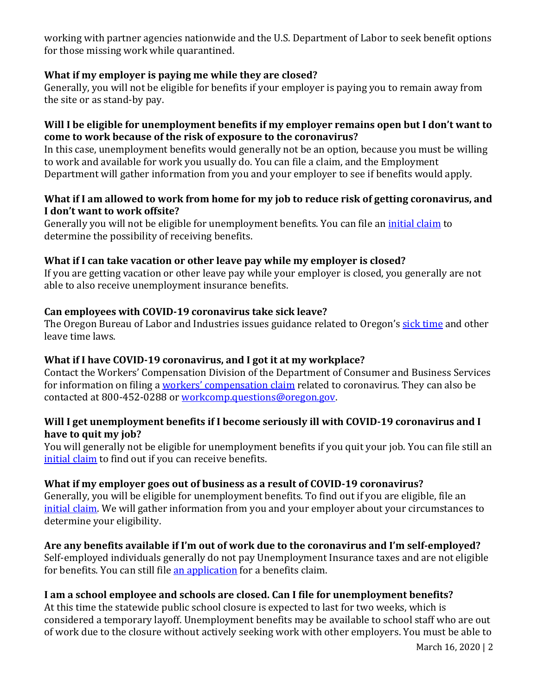working with partner agencies nationwide and the U.S. Department of Labor to seek benefit options for those missing work while quarantined.

## **What if my employer is paying me while they are closed?**

Generally, you will not be eligible for benefits if your employer is paying you to remain away from the site or as stand-by pay.

#### **Will I be eligible for unemployment benefits if my employer remains open but I don't want to come to work because of the risk of exposure to the coronavirus?**

In this case, unemployment benefits would generally not be an option, because you must be willing to work and available for work you usually do. You can file a claim, and the Employment Department will gather information from you and your employer to see if benefits would apply.

#### **What if I am allowed to work from home for my job to reduce risk of getting coronavirus, and I don't want to work offsite?**

Generally you will not be eligible for unemployment benefits. You can file an *initial claim* to determine the possibility of receiving benefits.

#### **What if I can take vacation or other leave pay while my employer is closed?**

If you are getting vacation or other leave pay while your employer is closed, you generally are not able to also receive unemployment insurance benefits.

## **Can employees with COVID-19 coronavirus take sick leave?**

The Oregon Bureau of Labor and Industries issues guidance related to Oregon's [sick time](https://www.oregon.gov/boli/TA/Pages/T_FAQ_OregonSickTime.aspx) and other leave time laws.

#### **What if I have COVID-19 coronavirus, and I got it at my workplace?**

Contact the Workers' Compensation Division of the Department of Consumer and Business Services for information on filing a workers' c[ompensation claim](https://wcd.oregon.gov/Pages/index.aspx) related to coronavirus. They can also be contacted at 800-452-0288 or [workcomp.questions@oregon.gov.](mailto:workcomp.questions@oregon.gov)

## **Will I get unemployment benefits if I become seriously ill with COVID-19 coronavirus and I have to quit my job?**

You will generally not be eligible for unemployment benefits if you quit your job. You can file still an [initial claim](https://secure.emp.state.or.us/ocs4/index.cfm?u=F20200311A092508B69498364.1356&lang=E) to find out if you can receive benefits.

#### **What if my employer goes out of business as a result of COVID-19 coronavirus?**

Generally, you will be eligible for unemployment benefits. To find out if you are eligible, file an [initial claim.](https://secure.emp.state.or.us/ocs4/index.cfm?u=F20200311A092508B69498364.1356&lang=E) We will gather information from you and your employer about your circumstances to determine your eligibility.

# **Are any benefits available if I'm out of work due to the coronavirus and I'm self-employed?**

Self-employed individuals generally do not pay Unemployment Insurance taxes and are not eligible for benefits. You can still file [an application](https://secure.emp.state.or.us/ocs4/index.cfm?u=F20200311A092508B69498364.1356&lang=E) for a benefits claim.

#### **I am a school employee and schools are closed. Can I file for unemployment benefits?**

At this time the statewide public school closure is expected to last for two weeks, which is considered a temporary layoff. Unemployment benefits may be available to school staff who are out of work due to the closure without actively seeking work with other employers. You must be able to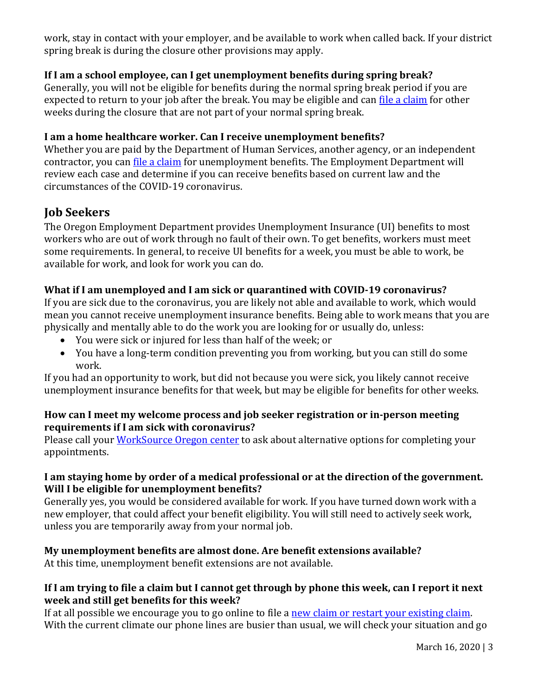work, stay in contact with your employer, and be available to work when called back. If your district spring break is during the closure other provisions may apply.

## **If I am a school employee, can I get unemployment benefits during spring break?**

Generally, you will not be eligible for benefits during the normal spring break period if you are expected to return to your job after the break. You may be eligible and can [file a claim](https://secure.emp.state.or.us/ocs4/index.cfm?u=F20200316A124855B64897461.0572&lang=E) for other weeks during the closure that are not part of your normal spring break.

## **I am a home healthcare worker. Can I receive unemployment benefits?**

Whether you are paid by the Department of Human Services, another agency, or an independent contractor, you can <u>file a claim</u> for unemployment benefits. The Employment Department will review each case and determine if you can receive benefits based on current law and the circumstances of the COVID-19 coronavirus.

# **Job Seekers**

The Oregon Employment Department provides Unemployment Insurance (UI) benefits to most workers who are out of work through no fault of their own. To get benefits, workers must meet some requirements. In general, to receive UI benefits for a week, you must be able to work, be available for work, and look for work you can do.

#### **What if I am unemployed and I am sick or quarantined with COVID-19 coronavirus?**

If you are sick due to the coronavirus, you are likely not able and available to work, which would mean you cannot receive unemployment insurance benefits. Being able to work means that you are physically and mentally able to do the work you are looking for or usually do, unless:

- You were sick or injured for less than half of the week; or
- You have a long-term condition preventing you from working, but you can still do some work.

If you had an opportunity to work, but did not because you were sick, you likely cannot receive unemployment insurance benefits for that week, but may be eligible for benefits for other weeks.

#### **How can I meet my welcome process and job seeker registration or in-person meeting requirements if I am sick with coronavirus?**

Please call your [WorkSource Oregon center](http://www.worksourceoregon.org/Centers.html) to ask about alternative options for completing your appointments.

#### **I am staying home by order of a medical professional or at the direction of the government. Will I be eligible for unemployment benefits?**

Generally yes, you would be considered available for work. If you have turned down work with a new employer, that could affect your benefit eligibility. You will still need to actively seek work, unless you are temporarily away from your normal job.

## **My unemployment benefits are almost done. Are benefit extensions available?**

At this time, unemployment benefit extensions are not available.

## **If I am trying to file a claim but I cannot get through by phone this week, can I report it next week and still get benefits for this week?**

If at all possible we encourage you to go online to file a new claim or restart your existing claim. With the current climate our phone lines are busier than usual, we will check your situation and go